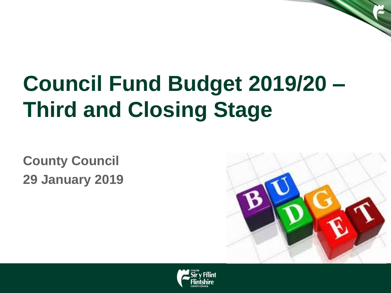# **Council Fund Budget 2019/20 – Third and Closing Stage**

**County Council 29 January 2019**



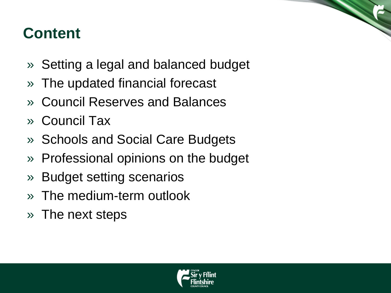#### **Content**

- » Setting a legal and balanced budget
- » The updated financial forecast
- » Council Reserves and Balances
- » Council Tax
- » Schools and Social Care Budgets
- » Professional opinions on the budget
- » Budget setting scenarios
- » The medium-term outlook
- » The next steps

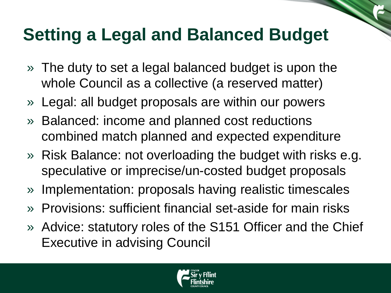### **Setting a Legal and Balanced Budget**

- » The duty to set a legal balanced budget is upon the whole Council as a collective (a reserved matter)
- » Legal: all budget proposals are within our powers
- » Balanced: income and planned cost reductions combined match planned and expected expenditure
- » Risk Balance: not overloading the budget with risks e.g. speculative or imprecise/un-costed budget proposals
- » Implementation: proposals having realistic timescales
- » Provisions: sufficient financial set-aside for main risks
- » Advice: statutory roles of the S151 Officer and the Chief Executive in advising Council

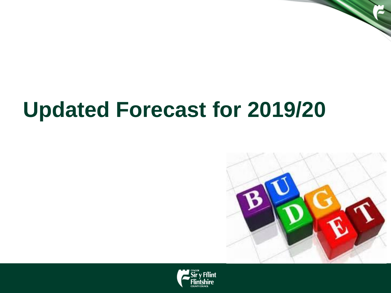## **Updated Forecast for 2019/20**



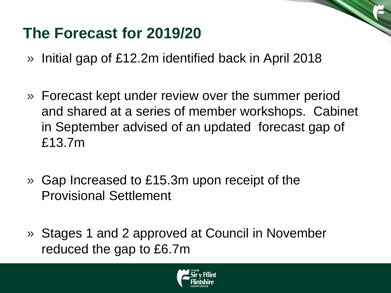#### **The Forecast for 2019/20**

- » Initial gap of £12.2m identified back in April 2018
- » Forecast kept under review over the summer period and shared at a series of member workshops. Cabinet in September advised of an updated forecast gap of £13.7m
- » Gap Increased to £15.3m upon receipt of the Provisional Settlement
- » Stages 1 and 2 approved at Council in November reduced the gap to £6.7m

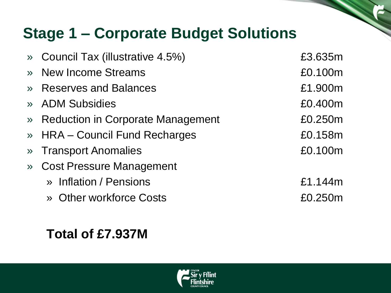#### **Stage 1 – Corporate Budget Solutions**

| » Council Tax (illustrative 4.5%)   | £3.635m |
|-------------------------------------|---------|
| » New Income Streams                | £0.100m |
| » Reserves and Balances             | £1.900m |
| » ADM Subsidies                     | £0.400m |
| » Reduction in Corporate Management | £0.250m |
| » HRA - Council Fund Recharges      | £0.158m |
| » Transport Anomalies               | £0.100m |
| » Cost Pressure Management          |         |
| » Inflation / Pensions              | £1.144m |
| » Other workforce Costs             | £0.250m |
|                                     |         |

#### **Total of £7.937M**

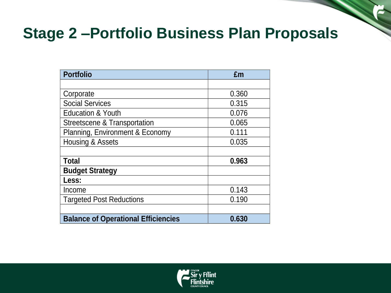#### **Stage 2 –Portfolio Business Plan Proposals**

| <b>Portfolio</b>                           | £m    |
|--------------------------------------------|-------|
|                                            |       |
| Corporate                                  | 0.360 |
| <b>Social Services</b>                     | 0.315 |
| <b>Education &amp; Youth</b>               | 0.076 |
| Streetscene & Transportation               | 0.065 |
| Planning, Environment & Economy            | 0.111 |
| Housing & Assets                           | 0.035 |
|                                            |       |
| <b>Total</b>                               | 0.963 |
| <b>Budget Strategy</b>                     |       |
| Less:                                      |       |
| Income                                     | 0.143 |
| <b>Targeted Post Reductions</b>            | 0.190 |
|                                            |       |
| <b>Balance of Operational Efficiencies</b> | 0.630 |

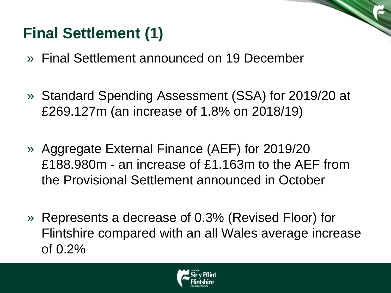### **Final Settlement (1)**

- » Final Settlement announced on 19 December
- » Standard Spending Assessment (SSA) for 2019/20 at £269.127m (an increase of 1.8% on 2018/19)
- » Aggregate External Finance (AEF) for 2019/20 £188.980m - an increase of £1.163m to the AEF from the Provisional Settlement announced in October
- » Represents a decrease of 0.3% (Revised Floor) for Flintshire compared with an all Wales average increase of 0.2%

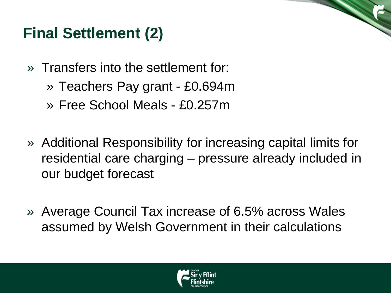#### **Final Settlement (2)**

- » Transfers into the settlement for:
	- » Teachers Pay grant £0.694m
	- » Free School Meals £0.257m
- » Additional Responsibility for increasing capital limits for residential care charging – pressure already included in our budget forecast
- » Average Council Tax increase of 6.5% across Wales assumed by Welsh Government in their calculations

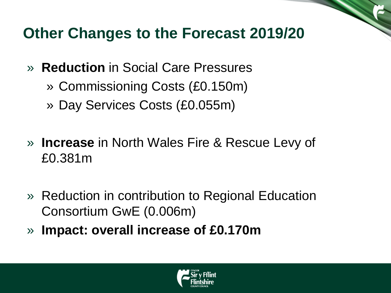#### **Other Changes to the Forecast 2019/20**

- » **Reduction** in Social Care Pressures
	- » Commissioning Costs (£0.150m)
	- » Day Services Costs (£0.055m)
- » **Increase** in North Wales Fire & Rescue Levy of £0.381m
- » Reduction in contribution to Regional Education Consortium GwE (0.006m)
- » **Impact: overall increase of £0.170m**

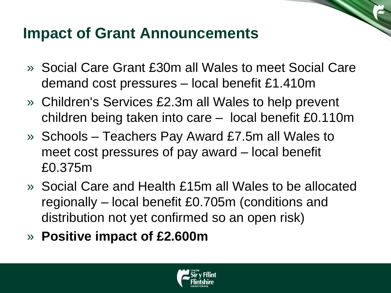#### **Impact of Grant Announcements**

- » Social Care Grant £30m all Wales to meet Social Care demand cost pressures – local benefit £1.410m
- » Children's Services £2.3m all Wales to help prevent children being taken into care – local benefit £0.110m
- » Schools Teachers Pay Award £7.5m all Wales to meet cost pressures of pay award – local benefit £0.375m
- » Social Care and Health £15m all Wales to be allocated regionally – local benefit £0.705m (conditions and distribution not yet confirmed so an open risk)
- » **Positive impact of £2.600m**

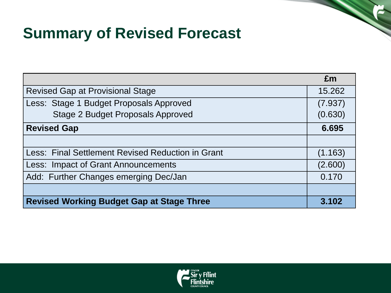#### **Summary of Revised Forecast**

|                                                   | £m      |  |
|---------------------------------------------------|---------|--|
| Revised Gap at Provisional Stage                  |         |  |
| Less: Stage 1 Budget Proposals Approved           | (7.937) |  |
| <b>Stage 2 Budget Proposals Approved</b>          | (0.630) |  |
| <b>Revised Gap</b>                                |         |  |
|                                                   |         |  |
| Less: Final Settlement Revised Reduction in Grant | (1.163) |  |
| <b>Less: Impact of Grant Announcements</b>        | (2.600) |  |
| Add: Further Changes emerging Dec/Jan             | 0.170   |  |
|                                                   |         |  |
| <b>Revised Working Budget Gap at Stage Three</b>  |         |  |

a a contra de la contra de la contra de la contra de la contra de la contra de la contra de la contra de la contra de la contra de la contra de la contra de la contra de la contra de la contra de la contra de la contra de

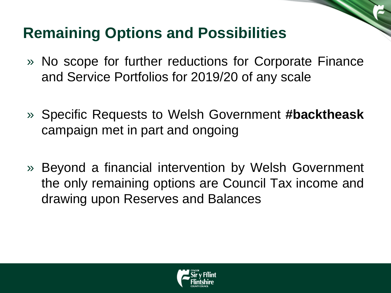#### **Remaining Options and Possibilities**

- » No scope for further reductions for Corporate Finance and Service Portfolios for 2019/20 of any scale
- » Specific Requests to Welsh Government **#backtheask** campaign met in part and ongoing
- » Beyond a financial intervention by Welsh Government the only remaining options are Council Tax income and drawing upon Reserves and Balances

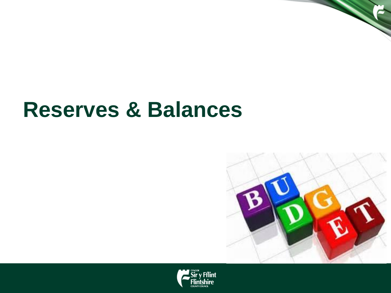### **Reserves & Balances**



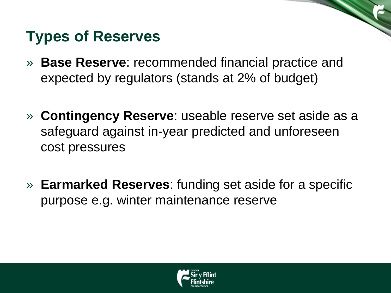#### **Types of Reserves**

- » **Base Reserve**: recommended financial practice and expected by regulators (stands at 2% of budget)
- » **Contingency Reserve**: useable reserve set aside as a safeguard against in-year predicted and unforeseen cost pressures
- » **Earmarked Reserves**: funding set aside for a specific purpose e.g. winter maintenance reserve

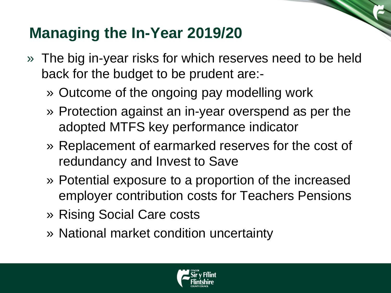#### **Managing the In-Year 2019/20**

- » The big in-year risks for which reserves need to be held back for the budget to be prudent are:-
	- » Outcome of the ongoing pay modelling work
	- » Protection against an in-year overspend as per the adopted MTFS key performance indicator
	- » Replacement of earmarked reserves for the cost of redundancy and Invest to Save
	- » Potential exposure to a proportion of the increased employer contribution costs for Teachers Pensions
	- » Rising Social Care costs
	- » National market condition uncertainty

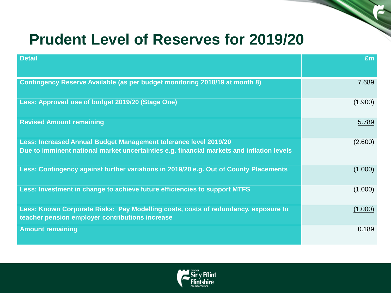#### **Prudent Level of Reserves for 2019/20**

| <b>Detail</b>                                                                                                                                                 | £m      |
|---------------------------------------------------------------------------------------------------------------------------------------------------------------|---------|
| Contingency Reserve Available (as per budget monitoring 2018/19 at month 8)                                                                                   | 7.689   |
| Less: Approved use of budget 2019/20 (Stage One)                                                                                                              | (1.900) |
| <b>Revised Amount remaining</b>                                                                                                                               | 5.789   |
| Less: Increased Annual Budget Management tolerance level 2019/20<br>Due to imminent national market uncertainties e.g. financial markets and inflation levels | (2.600) |
| Less: Contingency against further variations in 2019/20 e.g. Out of County Placements                                                                         | (1.000) |
| Less: Investment in change to achieve future efficiencies to support MTFS                                                                                     | (1.000) |
| Less: Known Corporate Risks: Pay Modelling costs, costs of redundancy, exposure to<br>teacher pension employer contributions increase                         | (1.000) |
| <b>Amount remaining</b>                                                                                                                                       | 0.189   |

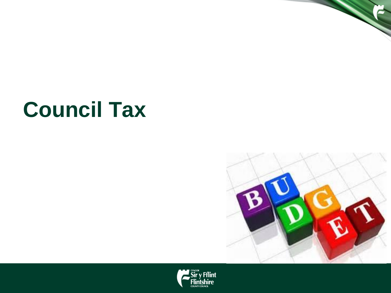## **Council Tax**



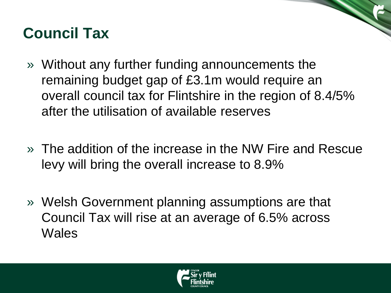#### **Council Tax**

- » Without any further funding announcements the remaining budget gap of £3.1m would require an overall council tax for Flintshire in the region of 8.4/5% after the utilisation of available reserves
- » The addition of the increase in the NW Fire and Rescue levy will bring the overall increase to 8.9%
- » Welsh Government planning assumptions are that Council Tax will rise at an average of 6.5% across **Wales**

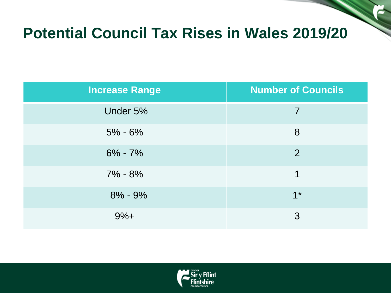#### **Potential Council Tax Rises in Wales 2019/20**

| <b>Increase Range</b> | <b>Number of Councils</b> |
|-----------------------|---------------------------|
| Under 5%              | $\overline{7}$            |
| $5\% - 6\%$           | 8                         |
| $6\% - 7\%$           | $\overline{2}$            |
| $7\% - 8\%$           | 1                         |
| $8\% - 9\%$           | $1^*$                     |
| $9%+$                 | 3                         |

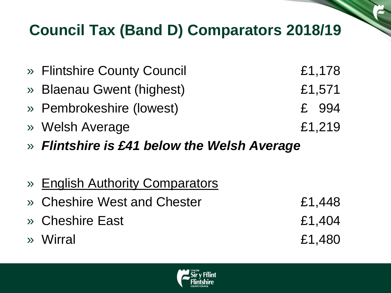#### **Council Tax (Band D) Comparators 2018/19**

| » Flintshire County Council | £1,178 |
|-----------------------------|--------|
| » Blaenau Gwent (highest)   | £1,571 |
| » Pembrokeshire (lowest)    | £ 994  |
| » Welsh Average             | £1,219 |
|                             |        |

- » *Flintshire is £41 below the Welsh Average*
- » English Authority Comparators
- » Cheshire West and Chester £1,448
- » Cheshire East £1,404
- » Wirral £1,480

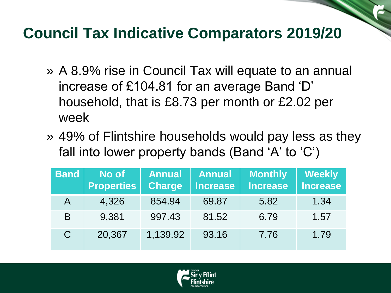#### **Council Tax Indicative Comparators 2019/20**

- » A 8.9% rise in Council Tax will equate to an annual increase of £104.81 for an average Band 'D' household, that is £8.73 per month or £2.02 per week
- » 49% of Flintshire households would pay less as they fall into lower property bands (Band 'A' to 'C')

| <b>Band</b> | No of<br><b>Properties</b> | <b>Annual</b><br><b>Charge</b> | <b>Annual</b><br><b>Increase</b> | <b>Monthly</b><br><b>Increase</b> | <b>Weekly</b><br><b>Increase</b> |
|-------------|----------------------------|--------------------------------|----------------------------------|-----------------------------------|----------------------------------|
|             | 4,326                      | 854.94                         | 69.87                            | 5.82                              | 1.34                             |
| B           | 9,381                      | 997.43                         | 81.52                            | 6.79                              | 1.57                             |
| C           | 20,367                     | 1,139.92                       | 93.16                            | 7.76                              | 1.79                             |

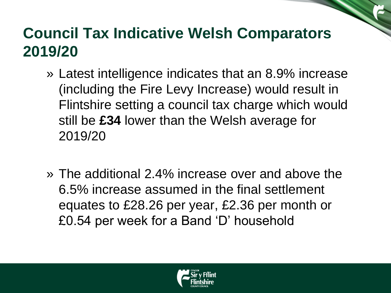#### **Council Tax Indicative Welsh Comparators 2019/20**

- » Latest intelligence indicates that an 8.9% increase (including the Fire Levy Increase) would result in Flintshire setting a council tax charge which would still be **£34** lower than the Welsh average for 2019/20
- » The additional 2.4% increase over and above the 6.5% increase assumed in the final settlement equates to £28.26 per year, £2.36 per month or £0.54 per week for a Band 'D' household

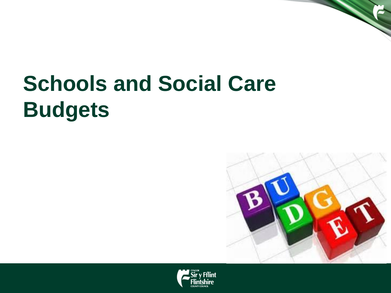# **Schools and Social Care Budgets**



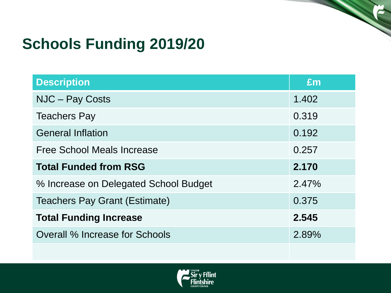#### **Schools Funding 2019/20**

| <b>Description</b>                    | Em    |
|---------------------------------------|-------|
| NJC - Pay Costs                       | 1.402 |
| <b>Teachers Pay</b>                   | 0.319 |
| <b>General Inflation</b>              | 0.192 |
| <b>Free School Meals Increase</b>     | 0.257 |
| <b>Total Funded from RSG</b>          | 2.170 |
| % Increase on Delegated School Budget | 2.47% |
| <b>Teachers Pay Grant (Estimate)</b>  | 0.375 |
| <b>Total Funding Increase</b>         | 2.545 |
| Overall % Increase for Schools        | 2.89% |

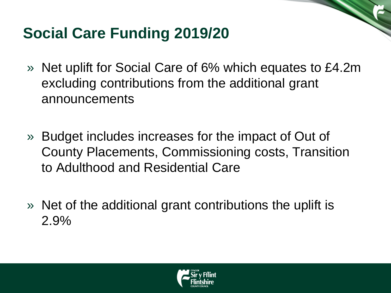#### **Social Care Funding 2019/20**

- » Net uplift for Social Care of 6% which equates to £4.2m excluding contributions from the additional grant announcements
- » Budget includes increases for the impact of Out of County Placements, Commissioning costs, Transition to Adulthood and Residential Care
- » Net of the additional grant contributions the uplift is 2.9%

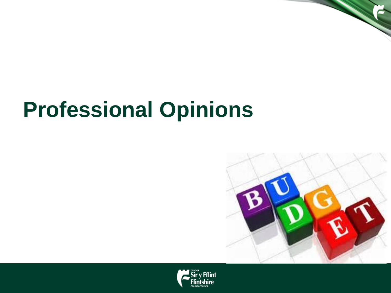## **Professional Opinions**



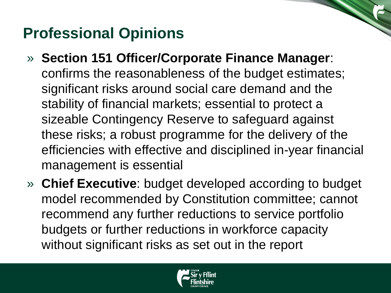#### **Professional Opinions**

- » **Section 151 Officer/Corporate Finance Manager**: confirms the reasonableness of the budget estimates; significant risks around social care demand and the stability of financial markets; essential to protect a sizeable Contingency Reserve to safeguard against these risks; a robust programme for the delivery of the efficiencies with effective and disciplined in-year financial management is essential
- » **Chief Executive**: budget developed according to budget model recommended by Constitution committee; cannot recommend any further reductions to service portfolio budgets or further reductions in workforce capacity without significant risks as set out in the report

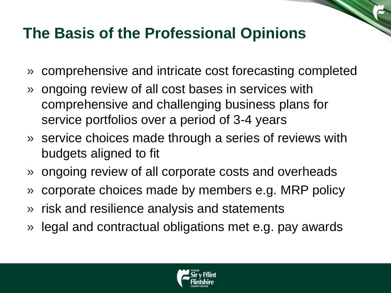#### **The Basis of the Professional Opinions**

- » comprehensive and intricate cost forecasting completed
- » ongoing review of all cost bases in services with comprehensive and challenging business plans for service portfolios over a period of 3-4 years
- » service choices made through a series of reviews with budgets aligned to fit
- » ongoing review of all corporate costs and overheads
- » corporate choices made by members e.g. MRP policy
- » risk and resilience analysis and statements
- » legal and contractual obligations met e.g. pay awards

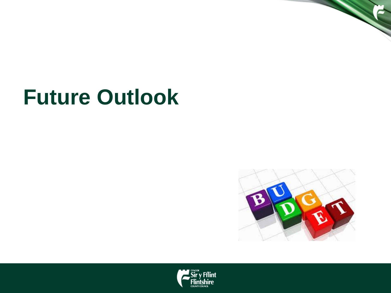## **Future Outlook**



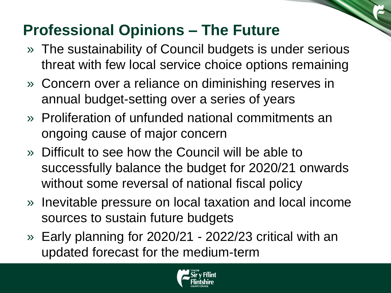#### **Professional Opinions – The Future**

- » The sustainability of Council budgets is under serious threat with few local service choice options remaining
- » Concern over a reliance on diminishing reserves in annual budget-setting over a series of years
- » Proliferation of unfunded national commitments an ongoing cause of major concern
- » Difficult to see how the Council will be able to successfully balance the budget for 2020/21 onwards without some reversal of national fiscal policy
- » Inevitable pressure on local taxation and local income sources to sustain future budgets
- » Early planning for 2020/21 2022/23 critical with an updated forecast for the medium-term

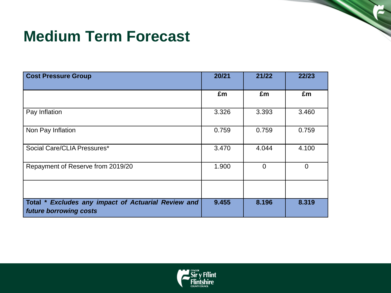#### **Medium Term Forecast**

| <b>Cost Pressure Group</b>                                                    | 20/21 | 21/22    | 22/23    |
|-------------------------------------------------------------------------------|-------|----------|----------|
|                                                                               | £m    | £m       | £m       |
| Pay Inflation                                                                 | 3.326 | 3.393    | 3.460    |
| Non Pay Inflation                                                             | 0.759 | 0.759    | 0.759    |
| Social Care/CLIA Pressures*                                                   | 3.470 | 4.044    | 4.100    |
| Repayment of Reserve from 2019/20                                             | 1.900 | $\Omega$ | $\Omega$ |
|                                                                               |       |          |          |
| Total * Excludes any impact of Actuarial Review and<br>future borrowing costs | 9.455 | 8.196    | 8.319    |

e de la construcción de la construcción de la construcción de la construcción de la construcción de la construcción de la construcción de la construcción de la construcción de la construcción de la construcción de la const

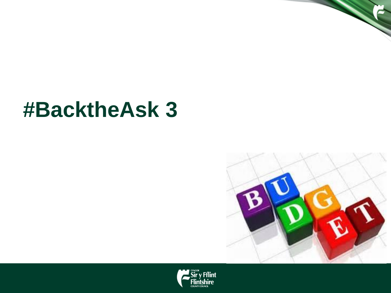### **#BacktheAsk 3**



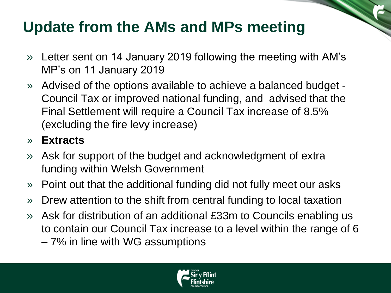#### **Update from the AMs and MPs meeting**

- » Letter sent on 14 January 2019 following the meeting with AM's MP's on 11 January 2019
- » Advised of the options available to achieve a balanced budget Council Tax or improved national funding, and advised that the Final Settlement will require a Council Tax increase of 8.5% (excluding the fire levy increase)

#### » **Extracts**

- » Ask for support of the budget and acknowledgment of extra funding within Welsh Government
- » Point out that the additional funding did not fully meet our asks
- » Drew attention to the shift from central funding to local taxation
- » Ask for distribution of an additional £33m to Councils enabling us to contain our Council Tax increase to a level within the range of 6 – 7% in line with WG assumptions

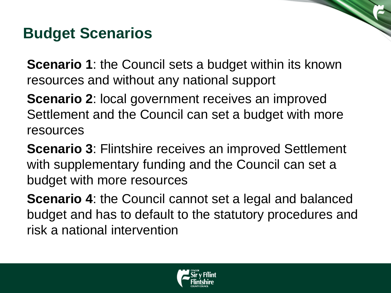#### **Budget Scenarios**

**Scenario 1: the Council sets a budget within its known** resources and without any national support

**Scenario 2**: local government receives an improved Settlement and the Council can set a budget with more resources

**Scenario 3**: Flintshire receives an improved Settlement with supplementary funding and the Council can set a budget with more resources

**Scenario 4: the Council cannot set a legal and balanced** budget and has to default to the statutory procedures and risk a national intervention